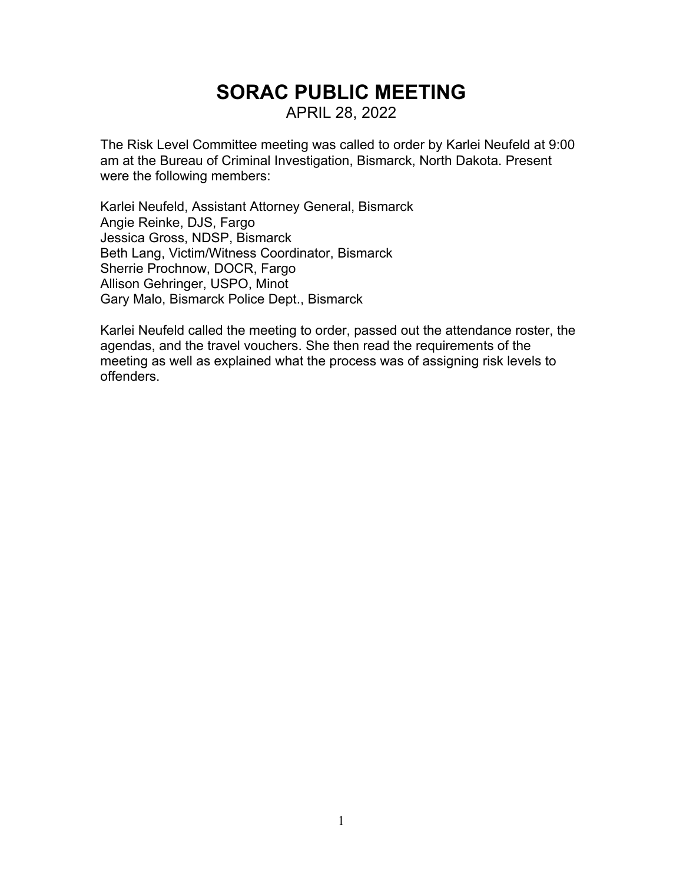# **SORAC PUBLIC MEETING** APRIL 28, 2022

The Risk Level Committee meeting was called to order by Karlei Neufeld at 9:00 am at the Bureau of Criminal Investigation, Bismarck, North Dakota. Present were the following members:

Karlei Neufeld, Assistant Attorney General, Bismarck Angie Reinke, DJS, Fargo Jessica Gross, NDSP, Bismarck Beth Lang, Victim/Witness Coordinator, Bismarck Sherrie Prochnow, DOCR, Fargo Allison Gehringer, USPO, Minot Gary Malo, Bismarck Police Dept., Bismarck

Karlei Neufeld called the meeting to order, passed out the attendance roster, the agendas, and the travel vouchers. She then read the requirements of the meeting as well as explained what the process was of assigning risk levels to offenders.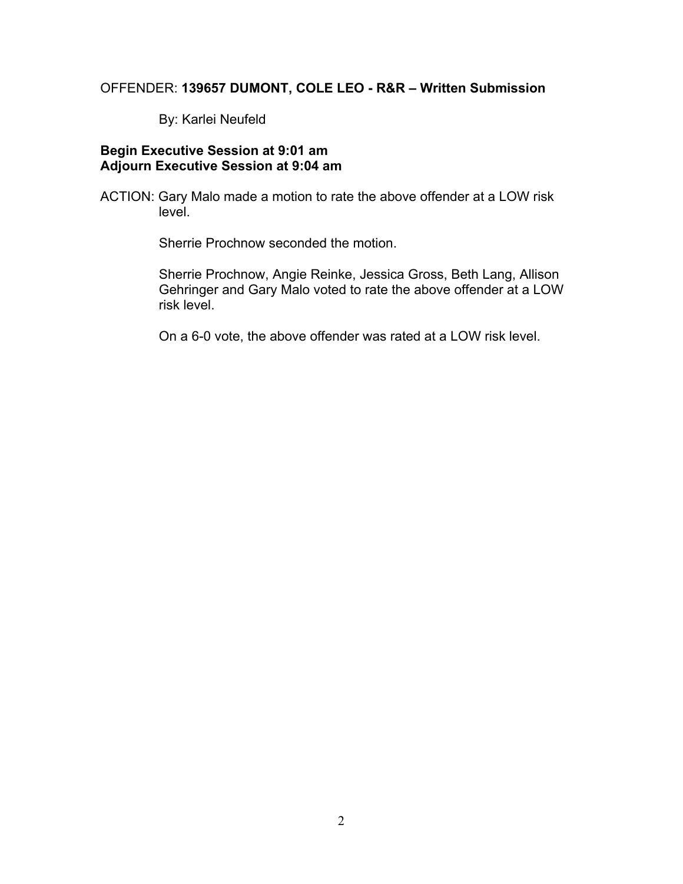# OFFENDER: **139657 DUMONT, COLE LEO - R&R – Written Submission**

By: Karlei Neufeld

## **Begin Executive Session at 9:01 am Adjourn Executive Session at 9:04 am**

ACTION: Gary Malo made a motion to rate the above offender at a LOW risk level.

Sherrie Prochnow seconded the motion.

Sherrie Prochnow, Angie Reinke, Jessica Gross, Beth Lang, Allison Gehringer and Gary Malo voted to rate the above offender at a LOW risk level.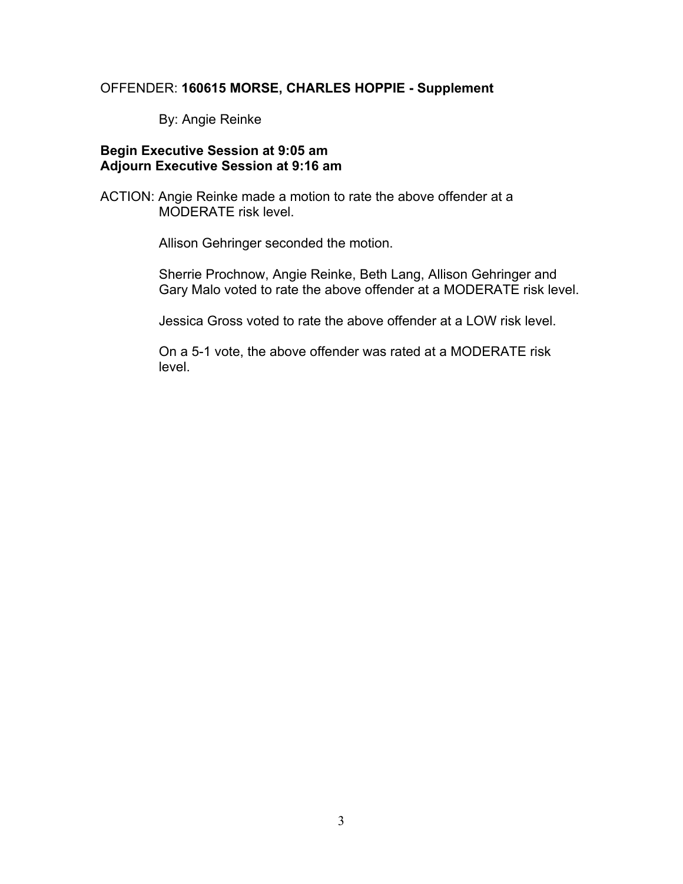# OFFENDER: **160615 MORSE, CHARLES HOPPIE - Supplement**

By: Angie Reinke

#### **Begin Executive Session at 9:05 am Adjourn Executive Session at 9:16 am**

ACTION: Angie Reinke made a motion to rate the above offender at a MODERATE risk level.

Allison Gehringer seconded the motion.

Sherrie Prochnow, Angie Reinke, Beth Lang, Allison Gehringer and Gary Malo voted to rate the above offender at a MODERATE risk level.

Jessica Gross voted to rate the above offender at a LOW risk level.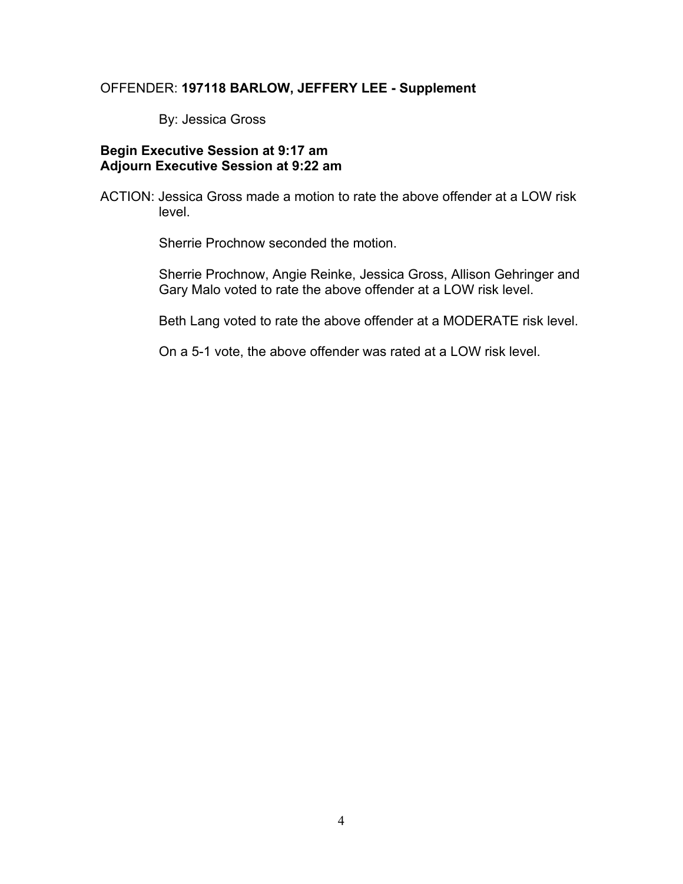#### OFFENDER: **197118 BARLOW, JEFFERY LEE - Supplement**

By: Jessica Gross

#### **Begin Executive Session at 9:17 am Adjourn Executive Session at 9:22 am**

ACTION: Jessica Gross made a motion to rate the above offender at a LOW risk level.

Sherrie Prochnow seconded the motion.

Sherrie Prochnow, Angie Reinke, Jessica Gross, Allison Gehringer and Gary Malo voted to rate the above offender at a LOW risk level.

Beth Lang voted to rate the above offender at a MODERATE risk level.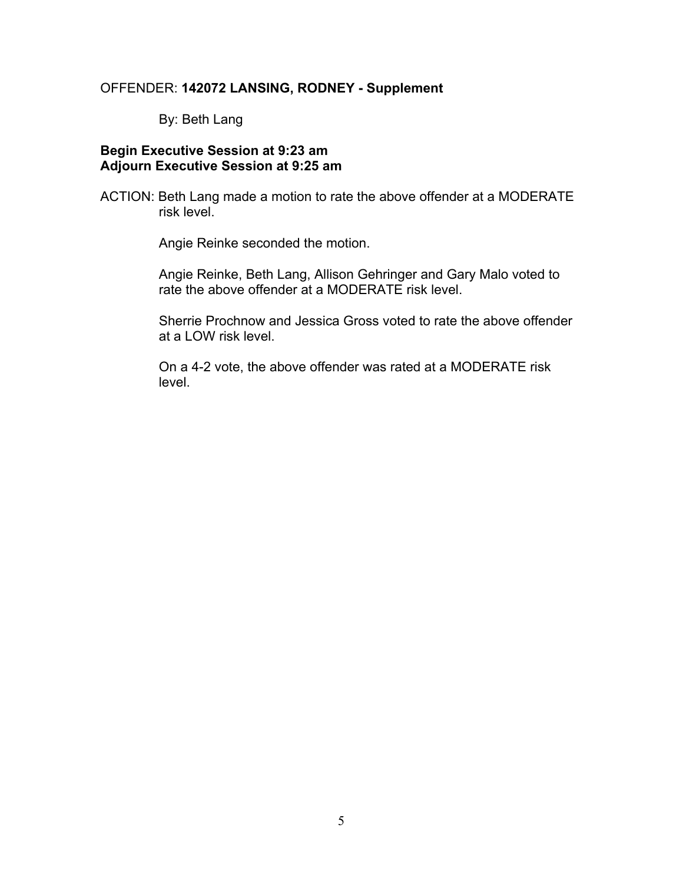#### OFFENDER: **142072 LANSING, RODNEY - Supplement**

By: Beth Lang

#### **Begin Executive Session at 9:23 am Adjourn Executive Session at 9:25 am**

ACTION: Beth Lang made a motion to rate the above offender at a MODERATE risk level.

Angie Reinke seconded the motion.

Angie Reinke, Beth Lang, Allison Gehringer and Gary Malo voted to rate the above offender at a MODERATE risk level.

Sherrie Prochnow and Jessica Gross voted to rate the above offender at a LOW risk level.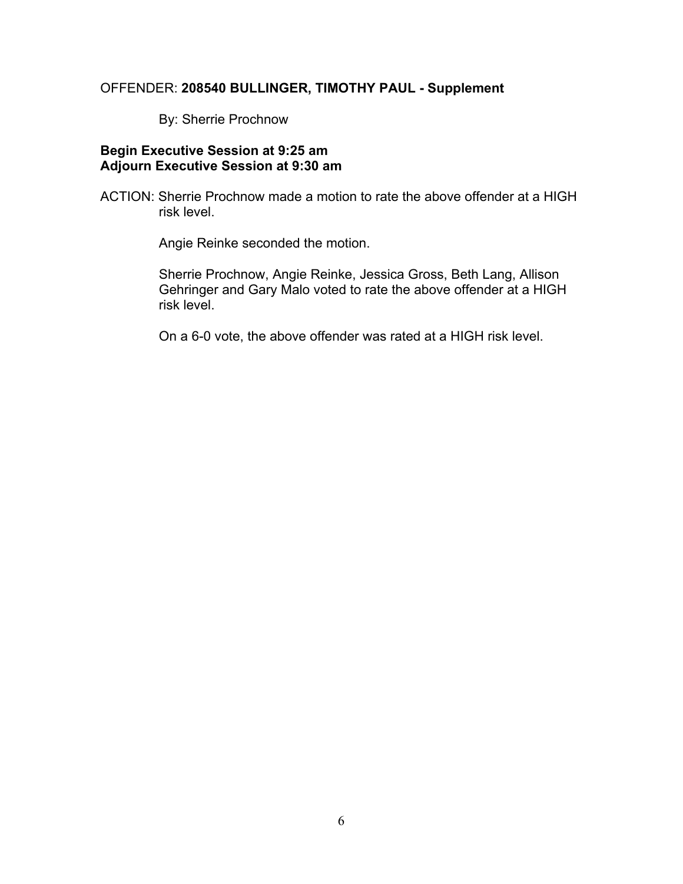# OFFENDER: **208540 BULLINGER, TIMOTHY PAUL - Supplement**

By: Sherrie Prochnow

#### **Begin Executive Session at 9:25 am Adjourn Executive Session at 9:30 am**

ACTION: Sherrie Prochnow made a motion to rate the above offender at a HIGH risk level.

Angie Reinke seconded the motion.

Sherrie Prochnow, Angie Reinke, Jessica Gross, Beth Lang, Allison Gehringer and Gary Malo voted to rate the above offender at a HIGH risk level.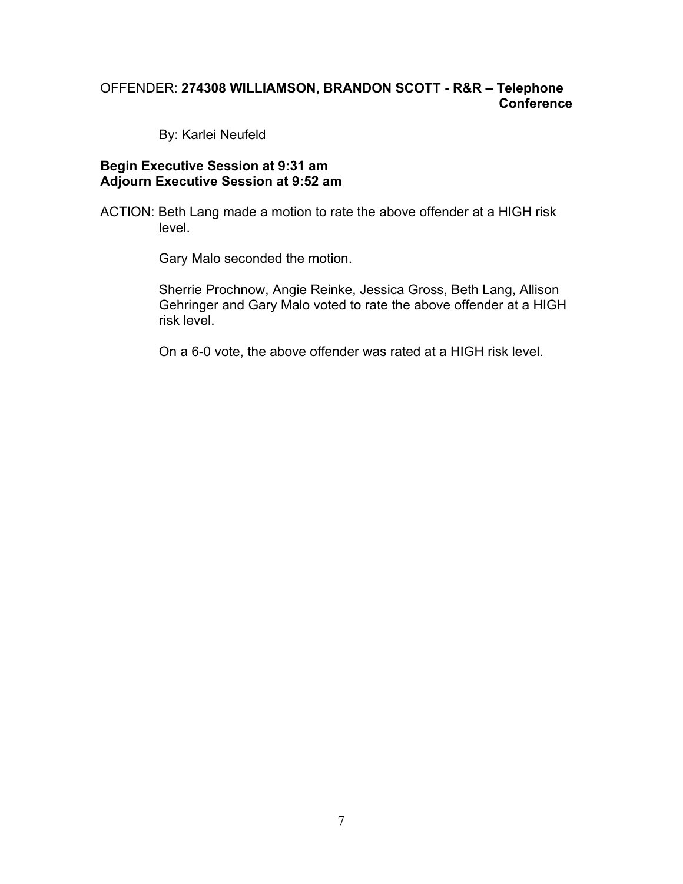# OFFENDER: **274308 WILLIAMSON, BRANDON SCOTT - R&R – Telephone Conference**

By: Karlei Neufeld

#### **Begin Executive Session at 9:31 am Adjourn Executive Session at 9:52 am**

ACTION: Beth Lang made a motion to rate the above offender at a HIGH risk level.

Gary Malo seconded the motion.

Sherrie Prochnow, Angie Reinke, Jessica Gross, Beth Lang, Allison Gehringer and Gary Malo voted to rate the above offender at a HIGH risk level.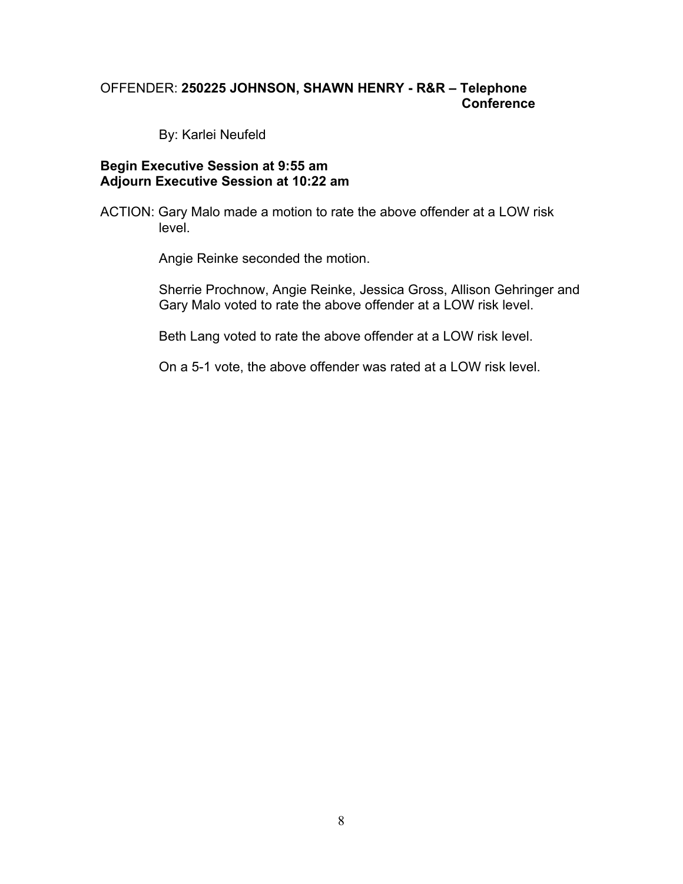# OFFENDER: **250225 JOHNSON, SHAWN HENRY - R&R – Telephone Conference**

By: Karlei Neufeld

#### **Begin Executive Session at 9:55 am Adjourn Executive Session at 10:22 am**

ACTION: Gary Malo made a motion to rate the above offender at a LOW risk level.

Angie Reinke seconded the motion.

Sherrie Prochnow, Angie Reinke, Jessica Gross, Allison Gehringer and Gary Malo voted to rate the above offender at a LOW risk level.

Beth Lang voted to rate the above offender at a LOW risk level.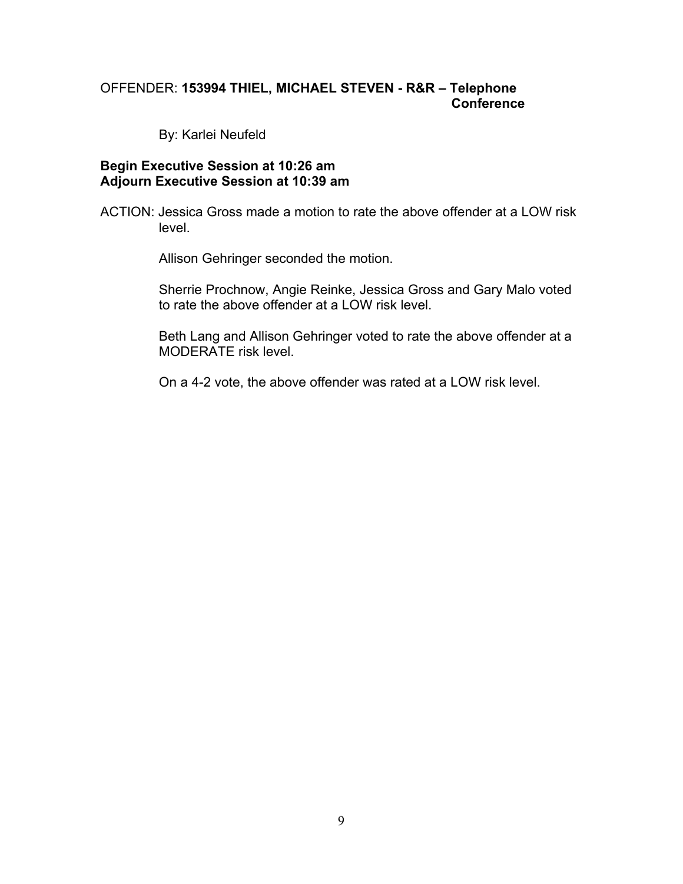# OFFENDER: **153994 THIEL, MICHAEL STEVEN - R&R – Telephone Conference**

By: Karlei Neufeld

#### **Begin Executive Session at 10:26 am Adjourn Executive Session at 10:39 am**

ACTION: Jessica Gross made a motion to rate the above offender at a LOW risk level.

Allison Gehringer seconded the motion.

Sherrie Prochnow, Angie Reinke, Jessica Gross and Gary Malo voted to rate the above offender at a LOW risk level.

Beth Lang and Allison Gehringer voted to rate the above offender at a MODERATE risk level.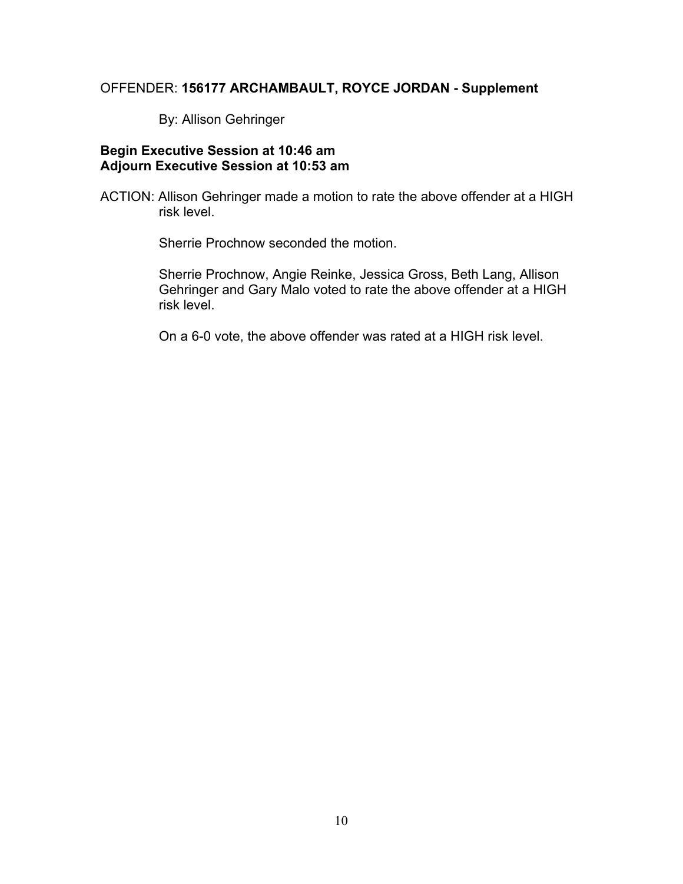#### OFFENDER: **156177 ARCHAMBAULT, ROYCE JORDAN - Supplement**

By: Allison Gehringer

# **Begin Executive Session at 10:46 am Adjourn Executive Session at 10:53 am**

ACTION: Allison Gehringer made a motion to rate the above offender at a HIGH risk level.

Sherrie Prochnow seconded the motion.

Sherrie Prochnow, Angie Reinke, Jessica Gross, Beth Lang, Allison Gehringer and Gary Malo voted to rate the above offender at a HIGH risk level.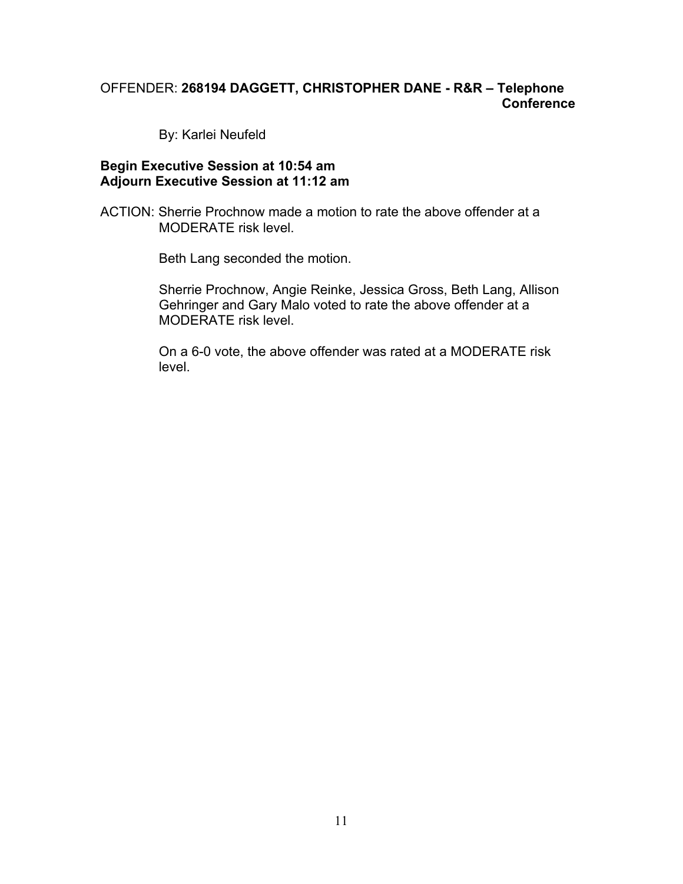# OFFENDER: **268194 DAGGETT, CHRISTOPHER DANE - R&R – Telephone Conference**

By: Karlei Neufeld

#### **Begin Executive Session at 10:54 am Adjourn Executive Session at 11:12 am**

ACTION: Sherrie Prochnow made a motion to rate the above offender at a MODERATE risk level.

Beth Lang seconded the motion.

Sherrie Prochnow, Angie Reinke, Jessica Gross, Beth Lang, Allison Gehringer and Gary Malo voted to rate the above offender at a MODERATE risk level.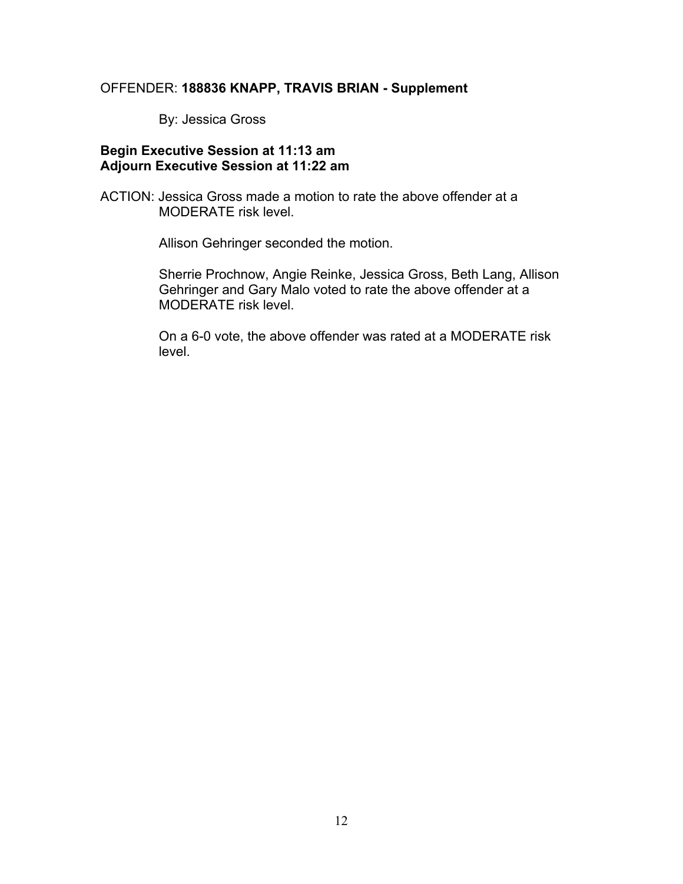# OFFENDER: **188836 KNAPP, TRAVIS BRIAN - Supplement**

By: Jessica Gross

## **Begin Executive Session at 11:13 am Adjourn Executive Session at 11:22 am**

ACTION: Jessica Gross made a motion to rate the above offender at a MODERATE risk level.

Allison Gehringer seconded the motion.

Sherrie Prochnow, Angie Reinke, Jessica Gross, Beth Lang, Allison Gehringer and Gary Malo voted to rate the above offender at a MODERATE risk level.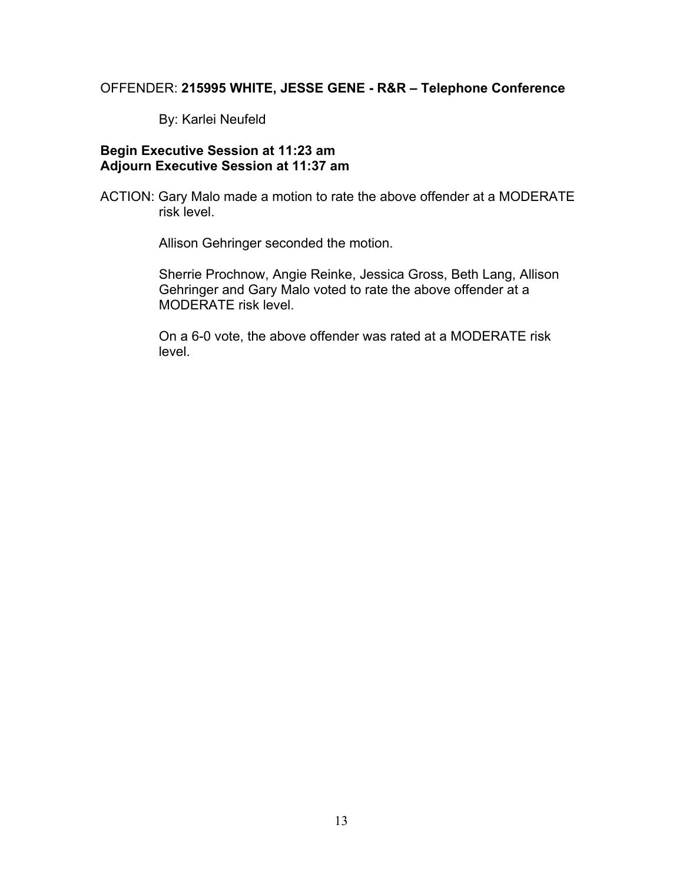#### OFFENDER: **215995 WHITE, JESSE GENE - R&R – Telephone Conference**

By: Karlei Neufeld

# **Begin Executive Session at 11:23 am Adjourn Executive Session at 11:37 am**

ACTION: Gary Malo made a motion to rate the above offender at a MODERATE risk level.

Allison Gehringer seconded the motion.

Sherrie Prochnow, Angie Reinke, Jessica Gross, Beth Lang, Allison Gehringer and Gary Malo voted to rate the above offender at a MODERATE risk level.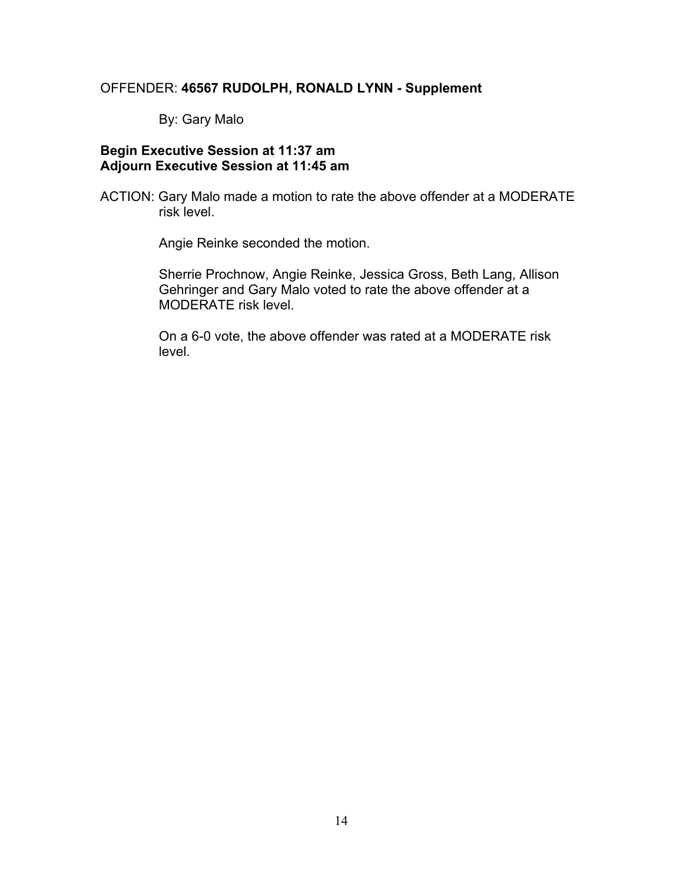# OFFENDER: **46567 RUDOLPH, RONALD LYNN - Supplement**

By: Gary Malo

## **Begin Executive Session at 11:37 am Adjourn Executive Session at 11:45 am**

ACTION: Gary Malo made a motion to rate the above offender at a MODERATE risk level.

Angie Reinke seconded the motion.

Sherrie Prochnow, Angie Reinke, Jessica Gross, Beth Lang, Allison Gehringer and Gary Malo voted to rate the above offender at a MODERATE risk level.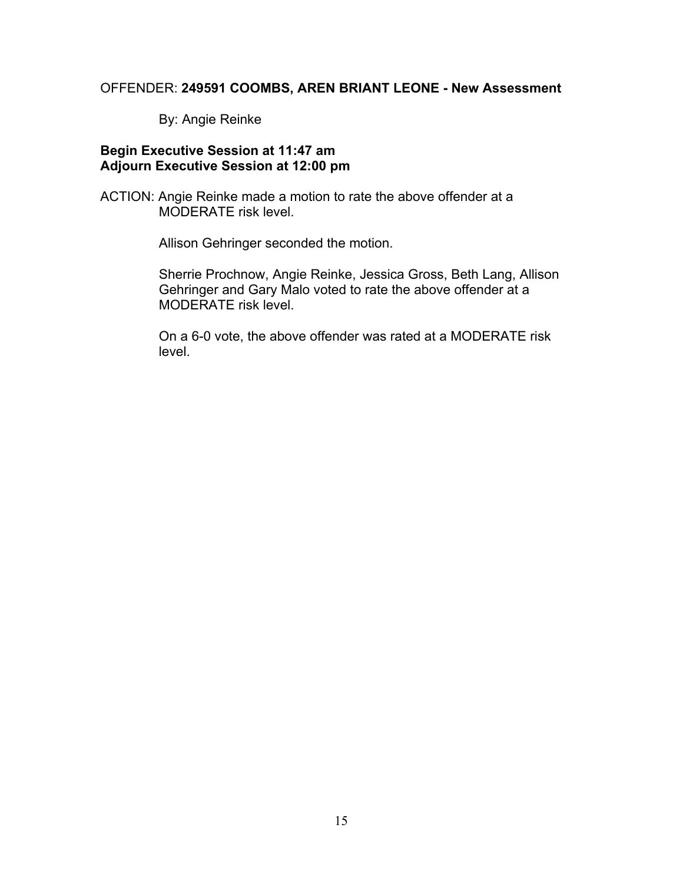# OFFENDER: **249591 COOMBS, AREN BRIANT LEONE - New Assessment**

By: Angie Reinke

#### **Begin Executive Session at 11:47 am Adjourn Executive Session at 12:00 pm**

ACTION: Angie Reinke made a motion to rate the above offender at a MODERATE risk level.

Allison Gehringer seconded the motion.

Sherrie Prochnow, Angie Reinke, Jessica Gross, Beth Lang, Allison Gehringer and Gary Malo voted to rate the above offender at a MODERATE risk level.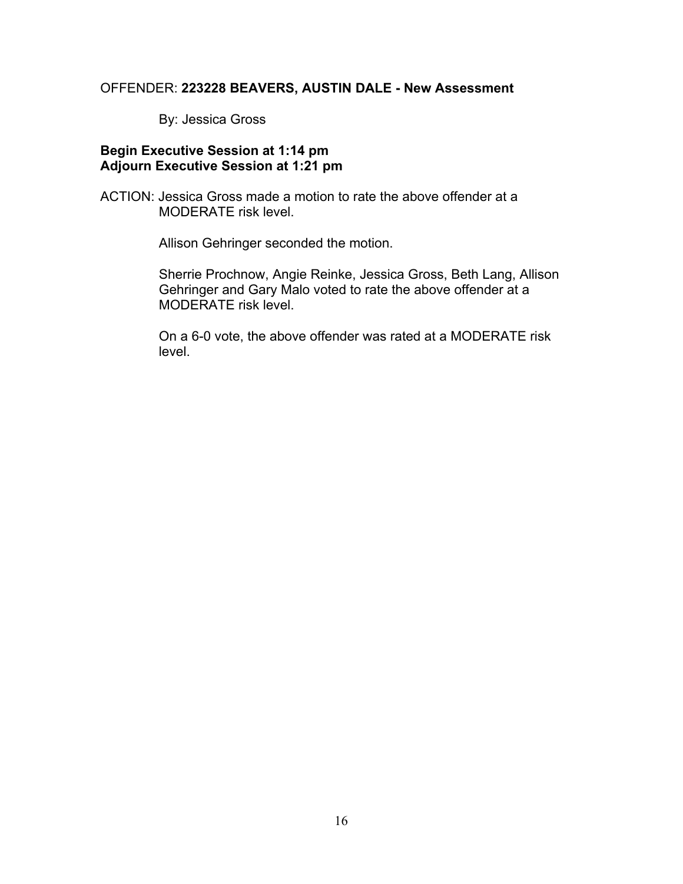# OFFENDER: **223228 BEAVERS, AUSTIN DALE - New Assessment**

By: Jessica Gross

#### **Begin Executive Session at 1:14 pm Adjourn Executive Session at 1:21 pm**

ACTION: Jessica Gross made a motion to rate the above offender at a MODERATE risk level.

Allison Gehringer seconded the motion.

Sherrie Prochnow, Angie Reinke, Jessica Gross, Beth Lang, Allison Gehringer and Gary Malo voted to rate the above offender at a MODERATE risk level.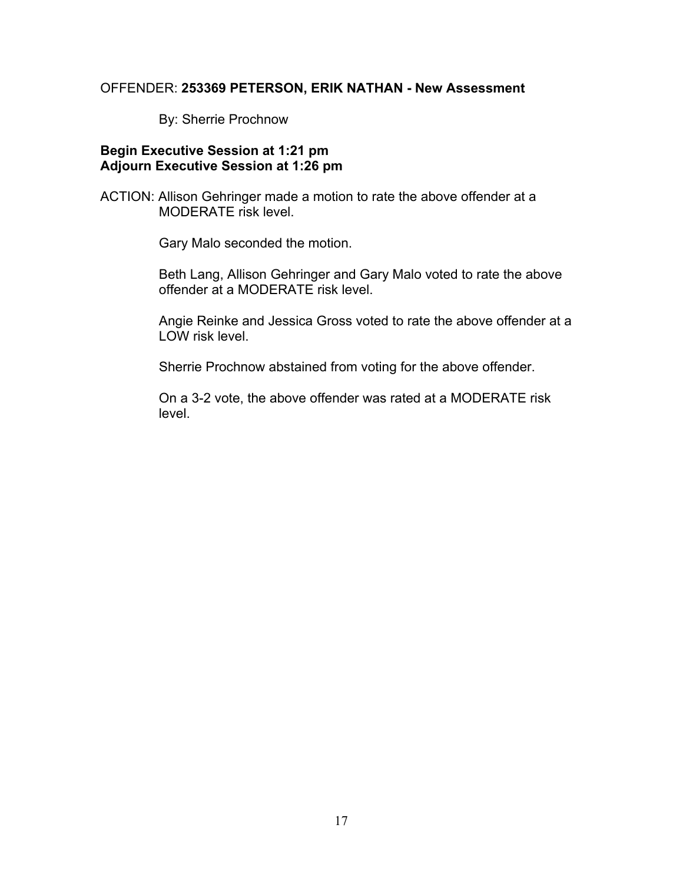#### OFFENDER: **253369 PETERSON, ERIK NATHAN - New Assessment**

By: Sherrie Prochnow

#### **Begin Executive Session at 1:21 pm Adjourn Executive Session at 1:26 pm**

ACTION: Allison Gehringer made a motion to rate the above offender at a MODERATE risk level.

Gary Malo seconded the motion.

Beth Lang, Allison Gehringer and Gary Malo voted to rate the above offender at a MODERATE risk level.

Angie Reinke and Jessica Gross voted to rate the above offender at a LOW risk level.

Sherrie Prochnow abstained from voting for the above offender.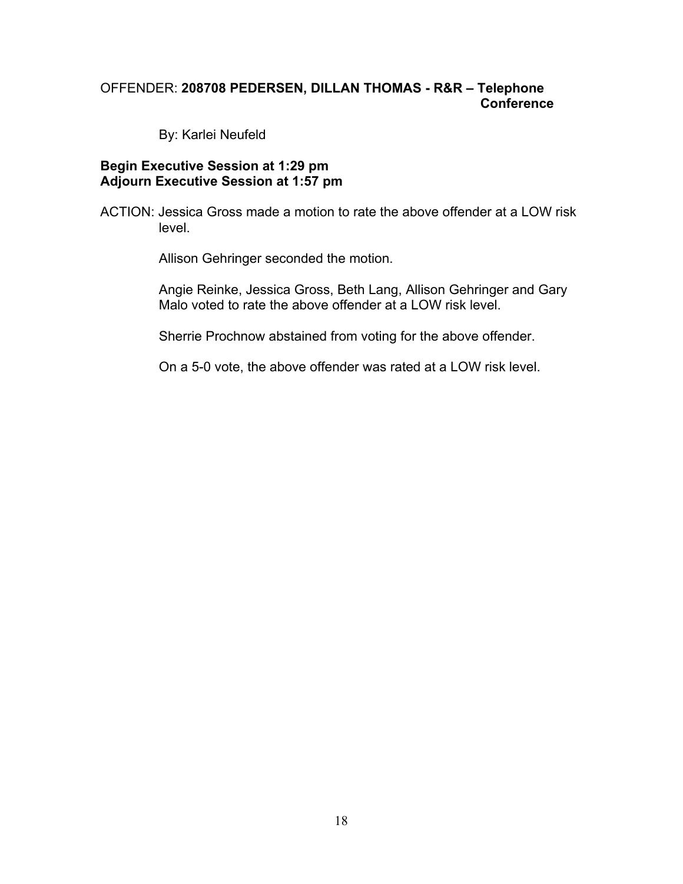# OFFENDER: **208708 PEDERSEN, DILLAN THOMAS - R&R – Telephone Conference**

By: Karlei Neufeld

#### **Begin Executive Session at 1:29 pm Adjourn Executive Session at 1:57 pm**

ACTION: Jessica Gross made a motion to rate the above offender at a LOW risk level.

Allison Gehringer seconded the motion.

Angie Reinke, Jessica Gross, Beth Lang, Allison Gehringer and Gary Malo voted to rate the above offender at a LOW risk level.

Sherrie Prochnow abstained from voting for the above offender.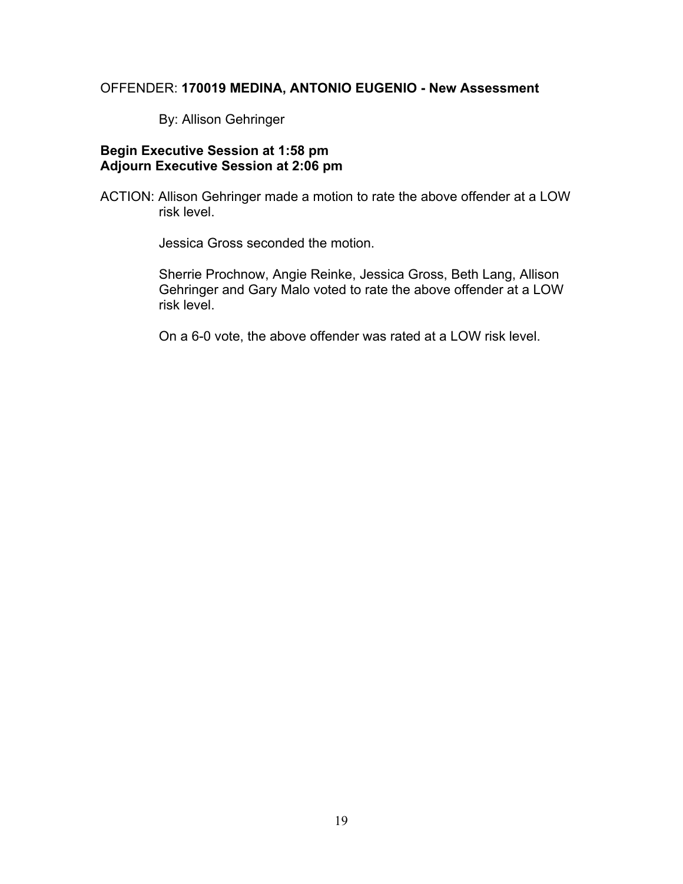# OFFENDER: **170019 MEDINA, ANTONIO EUGENIO - New Assessment**

By: Allison Gehringer

## **Begin Executive Session at 1:58 pm Adjourn Executive Session at 2:06 pm**

ACTION: Allison Gehringer made a motion to rate the above offender at a LOW risk level.

Jessica Gross seconded the motion.

Sherrie Prochnow, Angie Reinke, Jessica Gross, Beth Lang, Allison Gehringer and Gary Malo voted to rate the above offender at a LOW risk level.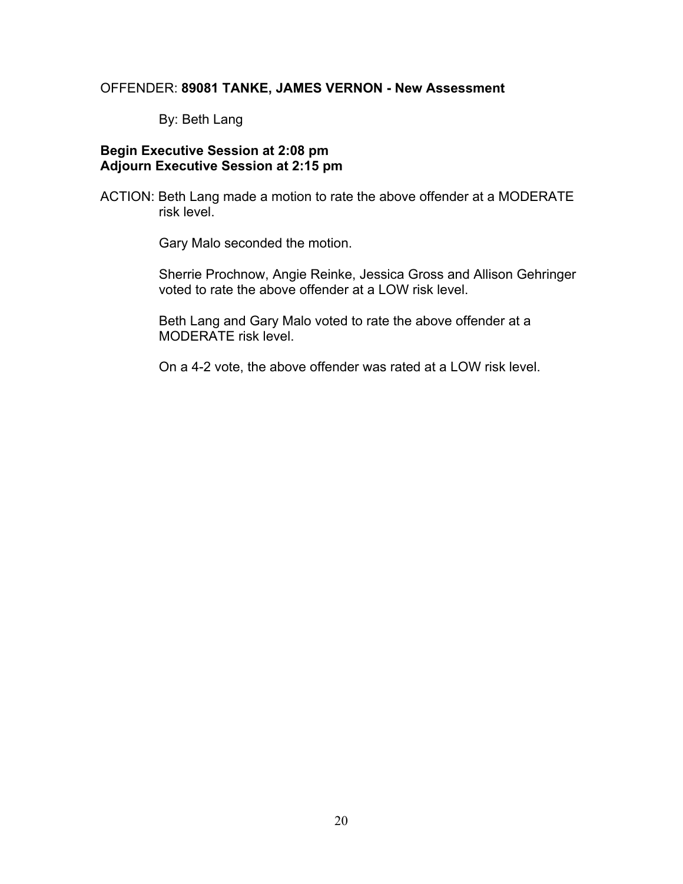# OFFENDER: **89081 TANKE, JAMES VERNON - New Assessment**

By: Beth Lang

#### **Begin Executive Session at 2:08 pm Adjourn Executive Session at 2:15 pm**

ACTION: Beth Lang made a motion to rate the above offender at a MODERATE risk level.

Gary Malo seconded the motion.

Sherrie Prochnow, Angie Reinke, Jessica Gross and Allison Gehringer voted to rate the above offender at a LOW risk level.

Beth Lang and Gary Malo voted to rate the above offender at a MODERATE risk level.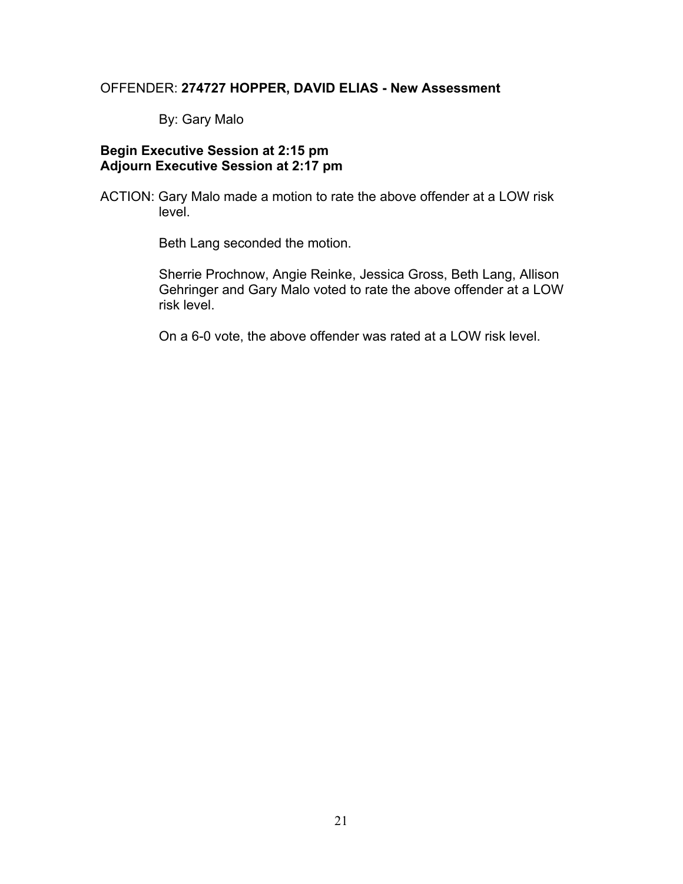#### OFFENDER: **274727 HOPPER, DAVID ELIAS - New Assessment**

By: Gary Malo

#### **Begin Executive Session at 2:15 pm Adjourn Executive Session at 2:17 pm**

ACTION: Gary Malo made a motion to rate the above offender at a LOW risk level.

Beth Lang seconded the motion.

Sherrie Prochnow, Angie Reinke, Jessica Gross, Beth Lang, Allison Gehringer and Gary Malo voted to rate the above offender at a LOW risk level.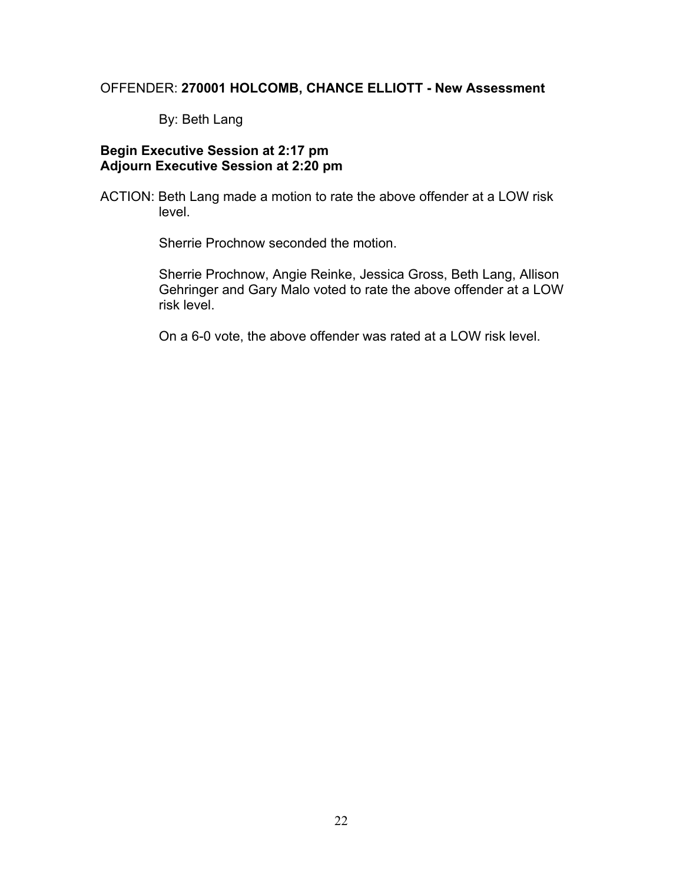# OFFENDER: **270001 HOLCOMB, CHANCE ELLIOTT - New Assessment**

By: Beth Lang

#### **Begin Executive Session at 2:17 pm Adjourn Executive Session at 2:20 pm**

ACTION: Beth Lang made a motion to rate the above offender at a LOW risk level.

Sherrie Prochnow seconded the motion.

Sherrie Prochnow, Angie Reinke, Jessica Gross, Beth Lang, Allison Gehringer and Gary Malo voted to rate the above offender at a LOW risk level.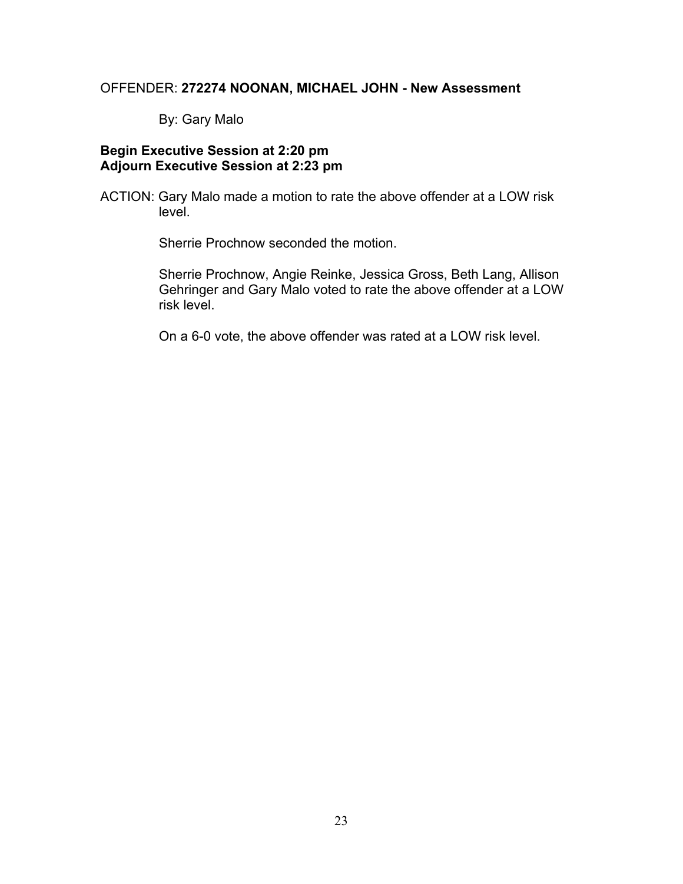# OFFENDER: **272274 NOONAN, MICHAEL JOHN - New Assessment**

By: Gary Malo

## **Begin Executive Session at 2:20 pm Adjourn Executive Session at 2:23 pm**

ACTION: Gary Malo made a motion to rate the above offender at a LOW risk level.

Sherrie Prochnow seconded the motion.

Sherrie Prochnow, Angie Reinke, Jessica Gross, Beth Lang, Allison Gehringer and Gary Malo voted to rate the above offender at a LOW risk level.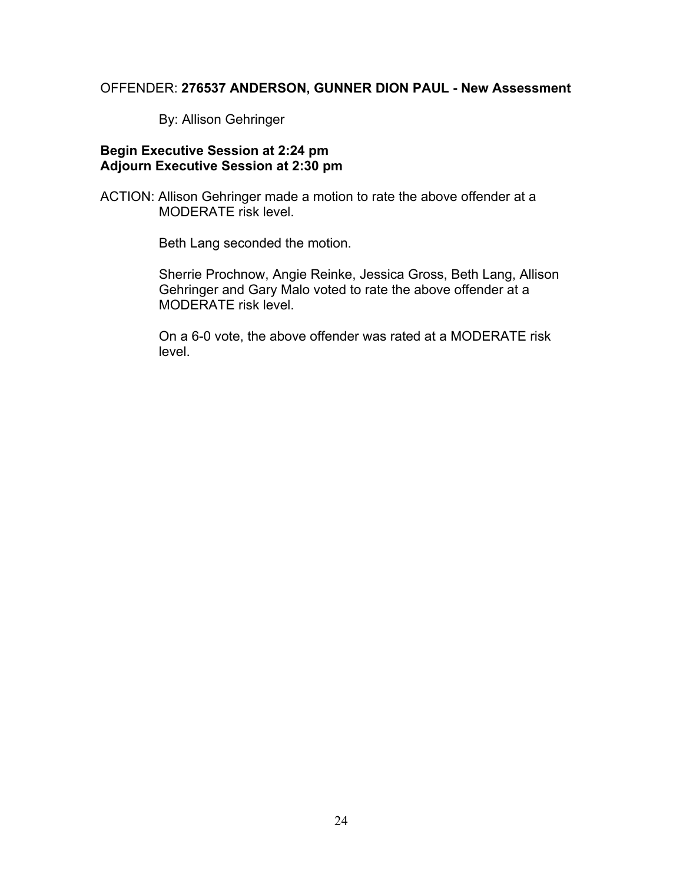# OFFENDER: **276537 ANDERSON, GUNNER DION PAUL - New Assessment**

By: Allison Gehringer

#### **Begin Executive Session at 2:24 pm Adjourn Executive Session at 2:30 pm**

ACTION: Allison Gehringer made a motion to rate the above offender at a MODERATE risk level.

Beth Lang seconded the motion.

Sherrie Prochnow, Angie Reinke, Jessica Gross, Beth Lang, Allison Gehringer and Gary Malo voted to rate the above offender at a MODERATE risk level.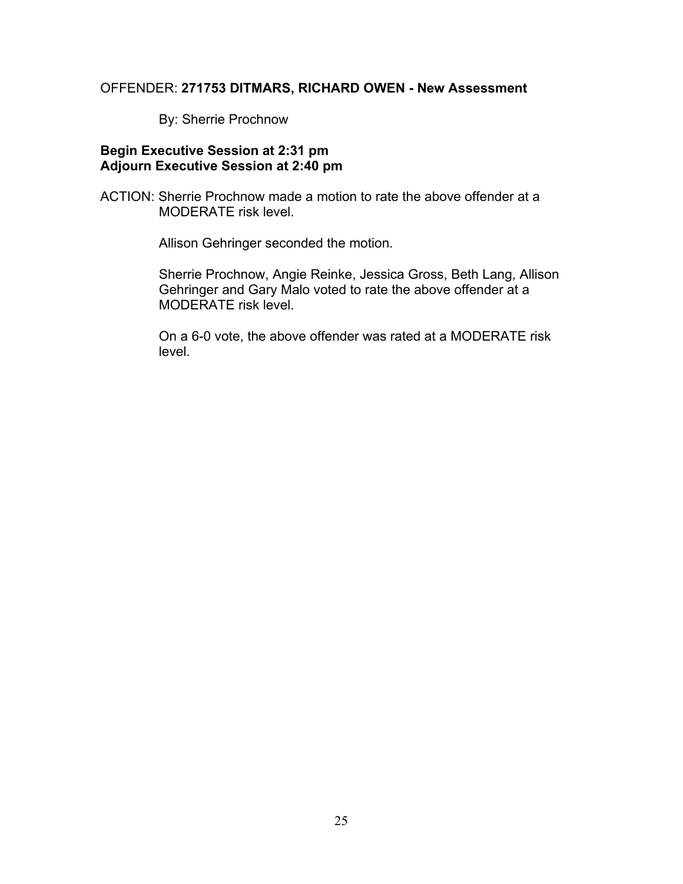# OFFENDER: **271753 DITMARS, RICHARD OWEN - New Assessment**

By: Sherrie Prochnow

#### **Begin Executive Session at 2:31 pm Adjourn Executive Session at 2:40 pm**

ACTION: Sherrie Prochnow made a motion to rate the above offender at a MODERATE risk level.

Allison Gehringer seconded the motion.

Sherrie Prochnow, Angie Reinke, Jessica Gross, Beth Lang, Allison Gehringer and Gary Malo voted to rate the above offender at a MODERATE risk level.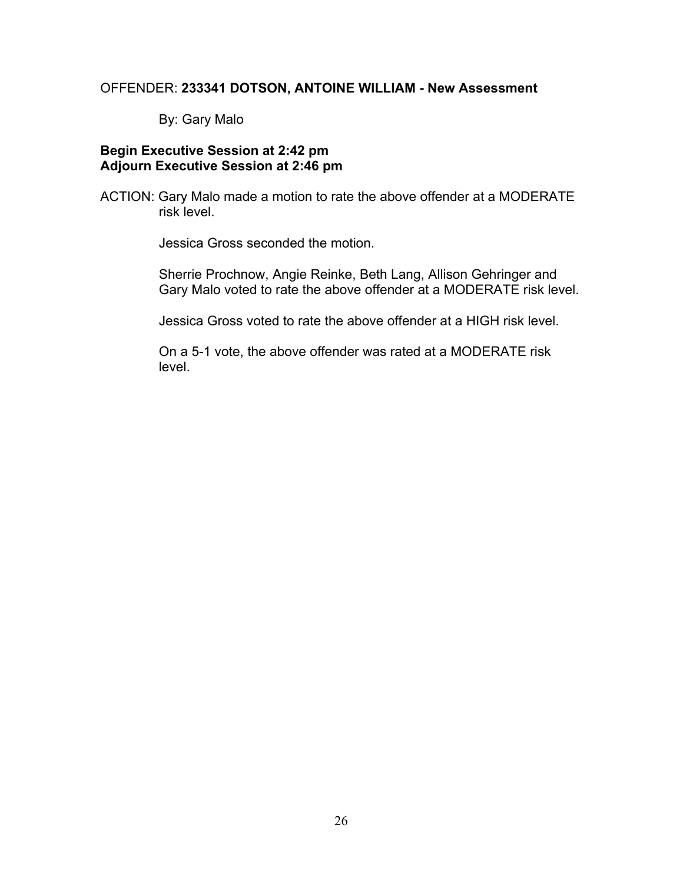# OFFENDER: **233341 DOTSON, ANTOINE WILLIAM - New Assessment**

By: Gary Malo

#### **Begin Executive Session at 2:42 pm Adjourn Executive Session at 2:46 pm**

ACTION: Gary Malo made a motion to rate the above offender at a MODERATE risk level.

Jessica Gross seconded the motion.

Sherrie Prochnow, Angie Reinke, Beth Lang, Allison Gehringer and Gary Malo voted to rate the above offender at a MODERATE risk level.

Jessica Gross voted to rate the above offender at a HIGH risk level.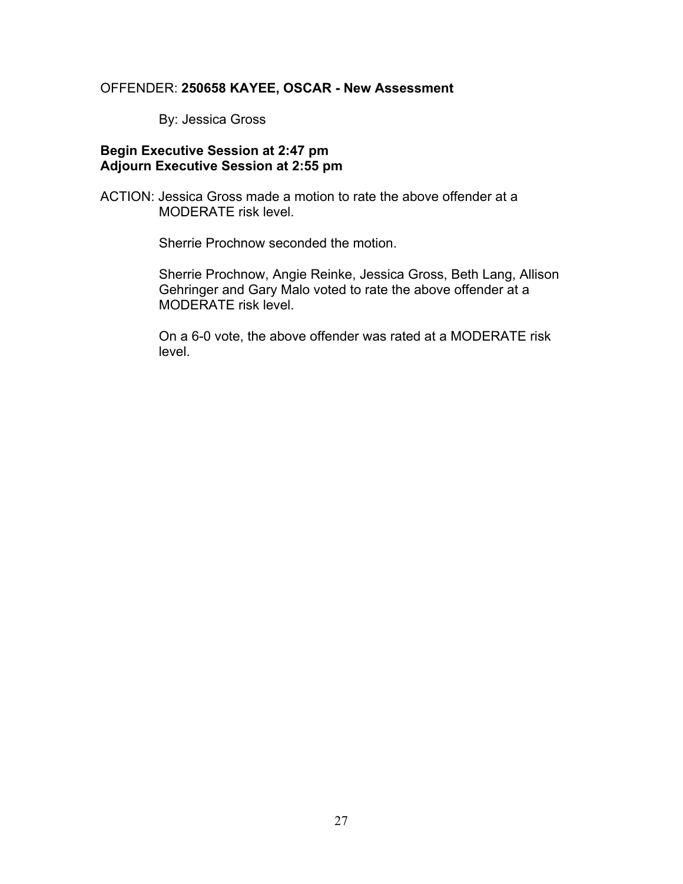# OFFENDER: **250658 KAYEE, OSCAR - New Assessment**

By: Jessica Gross

#### **Begin Executive Session at 2:47 pm Adjourn Executive Session at 2:55 pm**

ACTION: Jessica Gross made a motion to rate the above offender at a MODERATE risk level.

Sherrie Prochnow seconded the motion.

Sherrie Prochnow, Angie Reinke, Jessica Gross, Beth Lang, Allison Gehringer and Gary Malo voted to rate the above offender at a MODERATE risk level.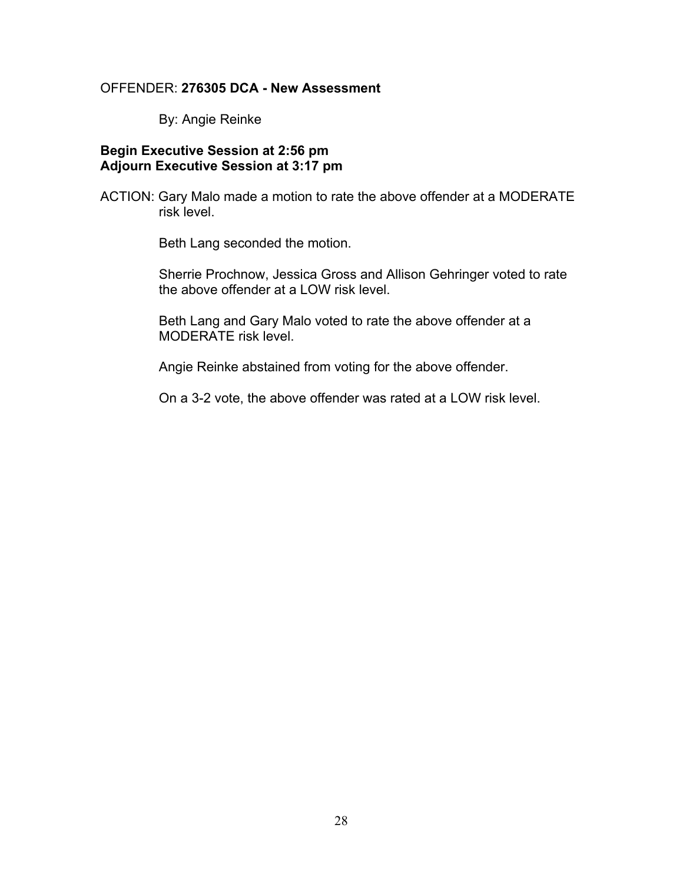#### OFFENDER: **276305 DCA - New Assessment**

By: Angie Reinke

## **Begin Executive Session at 2:56 pm Adjourn Executive Session at 3:17 pm**

ACTION: Gary Malo made a motion to rate the above offender at a MODERATE risk level.

Beth Lang seconded the motion.

Sherrie Prochnow, Jessica Gross and Allison Gehringer voted to rate the above offender at a LOW risk level.

Beth Lang and Gary Malo voted to rate the above offender at a MODERATE risk level.

Angie Reinke abstained from voting for the above offender.